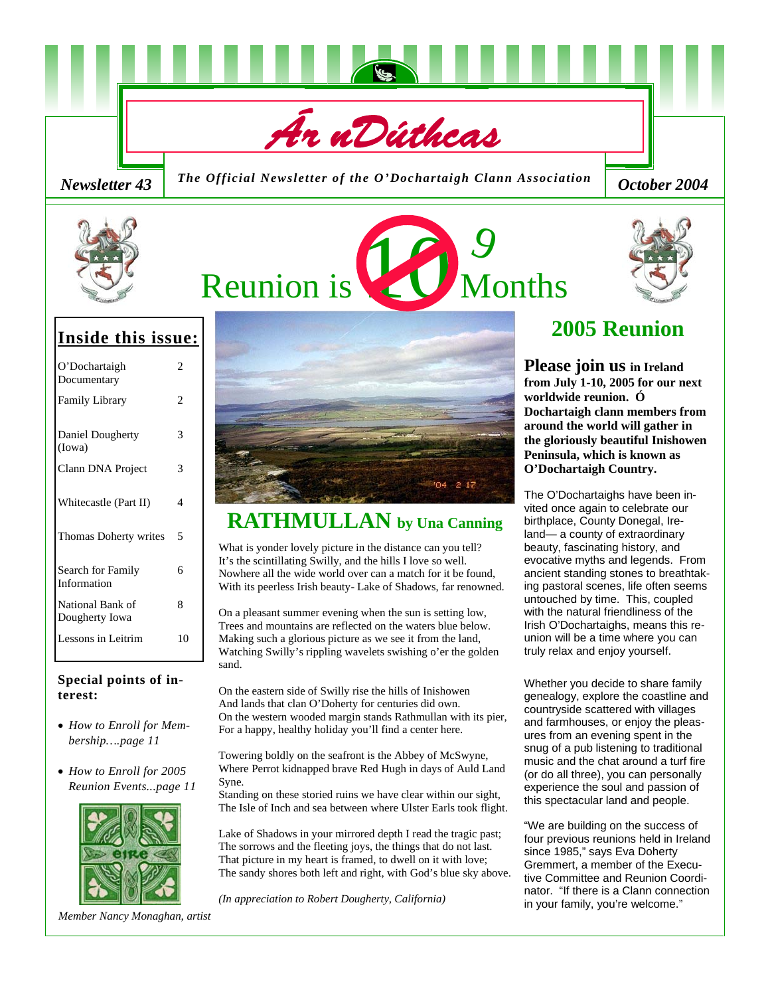

*Newsletter 43* The Official Newsletter of the O'Dochartaigh Clann Association [ October 2004



# Reunion is **10 Months**



# **Inside this issue:**

| O'Dochartaigh<br>Documentary       | 2  |
|------------------------------------|----|
| <b>Family Library</b>              | 2  |
| Daniel Dougherty<br>(Iowa)         | 3  |
| Clann DNA Project                  | 3  |
| Whitecastle (Part II)              | 4  |
| Thomas Doherty writes              | 5  |
| Search for Family<br>Information   | б  |
| National Bank of<br>Dougherty Iowa | 8  |
| Lessons in Leitrim                 | 10 |

### **Special points of interest:**

- *How to Enroll for Membership….page 11*
- *How to Enroll for 2005 Reunion Events...page 11*



*Member Nancy Monaghan, artist* 



# **RATHMULLAN by Una Canning**

What is yonder lovely picture in the distance can you tell? It's the scintillating Swilly, and the hills I love so well. Nowhere all the wide world over can a match for it be found, With its peerless Irish beauty- Lake of Shadows, far renowned.

On a pleasant summer evening when the sun is setting low, Trees and mountains are reflected on the waters blue below. Making such a glorious picture as we see it from the land, Watching Swilly's rippling wavelets swishing o'er the golden sand.

On the eastern side of Swilly rise the hills of Inishowen And lands that clan O'Doherty for centuries did own. On the western wooded margin stands Rathmullan with its pier, For a happy, healthy holiday you'll find a center here.

Towering boldly on the seafront is the Abbey of McSwyne, Where Perrot kidnapped brave Red Hugh in days of Auld Land Syne.

Standing on these storied ruins we have clear within our sight, The Isle of Inch and sea between where Ulster Earls took flight.

Lake of Shadows in your mirrored depth I read the tragic past; The sorrows and the fleeting joys, the things that do not last. That picture in my heart is framed, to dwell on it with love; The sandy shores both left and right, with God's blue sky above.

*(In appreciation to Robert Dougherty, California)*

# **2005 Reunion**

**Please join us in Ireland from July 1-10, 2005 for our next worldwide reunion. Ó Dochartaigh clann members from around the world will gather in the gloriously beautiful Inishowen Peninsula, which is known as O'Dochartaigh Country.** 

The O'Dochartaighs have been invited once again to celebrate our birthplace, County Donegal, Ireland— a county of extraordinary beauty, fascinating history, and evocative myths and legends. From ancient standing stones to breathtaking pastoral scenes, life often seems untouched by time. This, coupled with the natural friendliness of the Irish O'Dochartaighs, means this reunion will be a time where you can truly relax and enjoy yourself.

Whether you decide to share family genealogy, explore the coastline and countryside scattered with villages and farmhouses, or enjoy the pleasures from an evening spent in the snug of a pub listening to traditional music and the chat around a turf fire (or do all three), you can personally experience the soul and passion of this spectacular land and people.

"We are building on the success of four previous reunions held in Ireland since 1985," says Eva Doherty Gremmert, a member of the Executive Committee and Reunion Coordinator. "If there is a Clann connection in your family, you're welcome."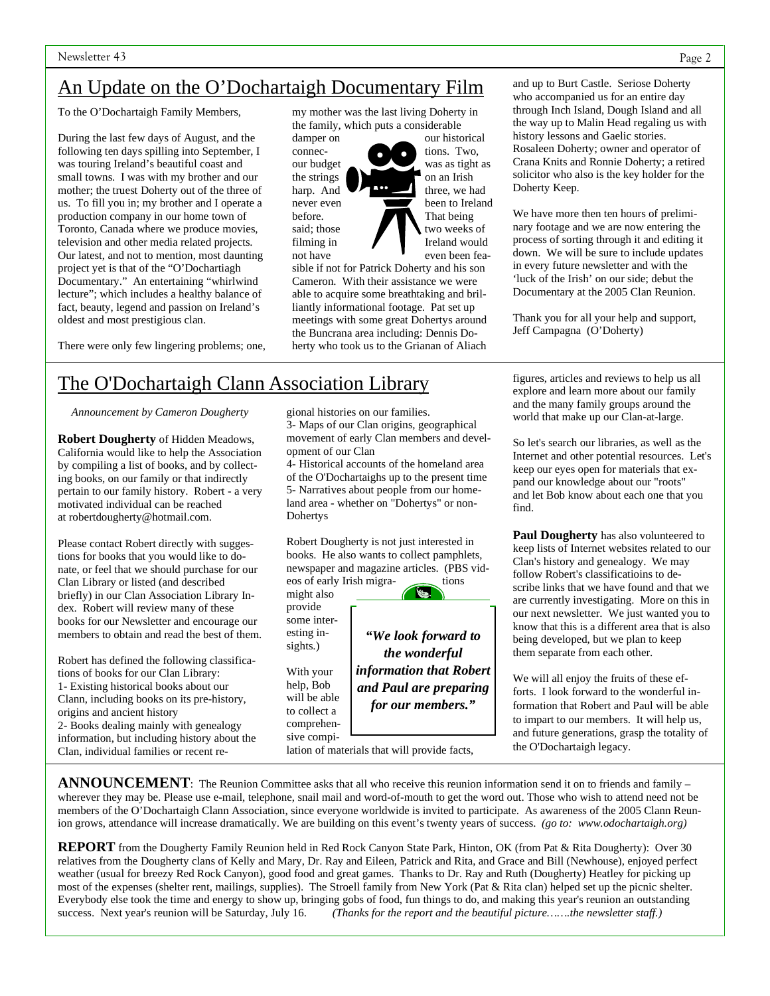# An Update on the O'Dochartaigh Documentary Film

To the O'Dochartaigh Family Members,

During the last few days of August, and the following ten days spilling into September, I was touring Ireland's beautiful coast and small towns. I was with my brother and our mother; the truest Doherty out of the three of us. To fill you in; my brother and I operate a production company in our home town of Toronto, Canada where we produce movies, television and other media related projects. Our latest, and not to mention, most daunting project yet is that of the "O'Dochartiagh Documentary." An entertaining "whirlwind lecture"; which includes a healthy balance of fact, beauty, legend and passion on Ireland's oldest and most prestigious clan.

There were only few lingering problems; one,

my mother was the last living Doherty in the family, which puts a considerable

connec- tions. Two, the strings on an Irish before. That being

damper on our historical our budget was as tight as harp. And  $\bullet$   $\bullet$  three, we had never even **been** been to Ireland said; those two weeks of  $filming in$  Ireland would not have ven been fea-

sible if not for Patrick Doherty and his son Cameron. With their assistance we were able to acquire some breathtaking and brilliantly informational footage. Pat set up meetings with some great Dohertys around the Buncrana area including: Dennis Doherty who took us to the Grianan of Aliach

and up to Burt Castle. Seriose Doherty who accompanied us for an entire day through Inch Island, Dough Island and all the way up to Malin Head regaling us with history lessons and Gaelic stories. Rosaleen Doherty; owner and operator of

Crana Knits and Ronnie Doherty; a retired solicitor who also is the key holder for the Doherty Keep.

We have more then ten hours of preliminary footage and we are now entering the process of sorting through it and editing it down. We will be sure to include updates in every future newsletter and with the 'luck of the Irish' on our side; debut the Documentary at the 2005 Clan Reunion.

Thank you for all your help and support, Jeff Campagna (O'Doherty)

# The O'Dochartaigh Clann Association Library

*Announcement by Cameron Dougherty* 

**Robert Dougherty** of Hidden Meadows, California would like to help the Association by compiling a list of books, and by collecting books, on our family or that indirectly pertain to our family history. Robert - a very motivated individual can be reached at robertdougherty@hotmail.com.

Please contact Robert directly with suggestions for books that you would like to donate, or feel that we should purchase for our Clan Library or listed (and described briefly) in our Clan Association Library Index. Robert will review many of these books for our Newsletter and encourage our members to obtain and read the best of them.

Robert has defined the following classifications of books for our Clan Library: 1- Existing historical books about our Clann, including books on its pre-history, origins and ancient history 2- Books dealing mainly with genealogy information, but including history about the Clan, individual families or recent re-

gional histories on our families. 3- Maps of our Clan origins, geographical movement of early Clan members and development of our Clan

4- Historical accounts of the homeland area of the O'Dochartaighs up to the present time 5- Narratives about people from our homeland area - whether on "Dohertys" or non-Dohertys

Robert Dougherty is not just interested in books. He also wants to collect pamphlets, newspaper and magazine articles. (PBS videos of early Irish migra- tions

might also provide some interesting insights.)

With your help, Bob will be able to collect a comprehensive compilation of materials that will provide facts,



*"We look forward to the wonderful information that Robert and Paul are preparing for our members."*

figures, articles and reviews to help us all explore and learn more about our family and the many family groups around the world that make up our Clan-at-large.

So let's search our libraries, as well as the Internet and other potential resources. Let's keep our eyes open for materials that expand our knowledge about our "roots" and let Bob know about each one that you find.

**Paul Dougherty** has also volunteered to keep lists of Internet websites related to our Clan's history and genealogy. We may follow Robert's classificatioins to describe links that we have found and that we are currently investigating. More on this in our next newsletter. We just wanted you to know that this is a different area that is also being developed, but we plan to keep them separate from each other.

We will all enjoy the fruits of these efforts. I look forward to the wonderful information that Robert and Paul will be able to impart to our members. It will help us, and future generations, grasp the totality of the O'Dochartaigh legacy.

**ANNOUNCEMENT**: The Reunion Committee asks that all who receive this reunion information send it on to friends and family – wherever they may be. Please use e-mail, telephone, snail mail and word-of-mouth to get the word out. Those who wish to attend need not be members of the O'Dochartaigh Clann Association, since everyone worldwide is invited to participate. As awareness of the 2005 Clann Reunion grows, attendance will increase dramatically. We are building on this event's twenty years of success. *(go to: www.odochartaigh.org)* 

**REPORT** from the Dougherty Family Reunion held in Red Rock Canyon State Park, Hinton, OK (from Pat & Rita Dougherty): Over 30 relatives from the Dougherty clans of Kelly and Mary, Dr. Ray and Eileen, Patrick and Rita, and Grace and Bill (Newhouse), enjoyed perfect weather (usual for breezy Red Rock Canyon), good food and great games. Thanks to Dr. Ray and Ruth (Dougherty) Heatley for picking up most of the expenses (shelter rent, mailings, supplies). The Stroell family from New York (Pat & Rita clan) helped set up the picnic shelter. Everybody else took the time and energy to show up, bringing gobs of food, fun things to do, and making this year's reunion an outstanding success. Next year's reunion will be Saturday, July 16. (Thanks for the report and (Thanks for the report and the beautiful picture…….the newsletter staff.)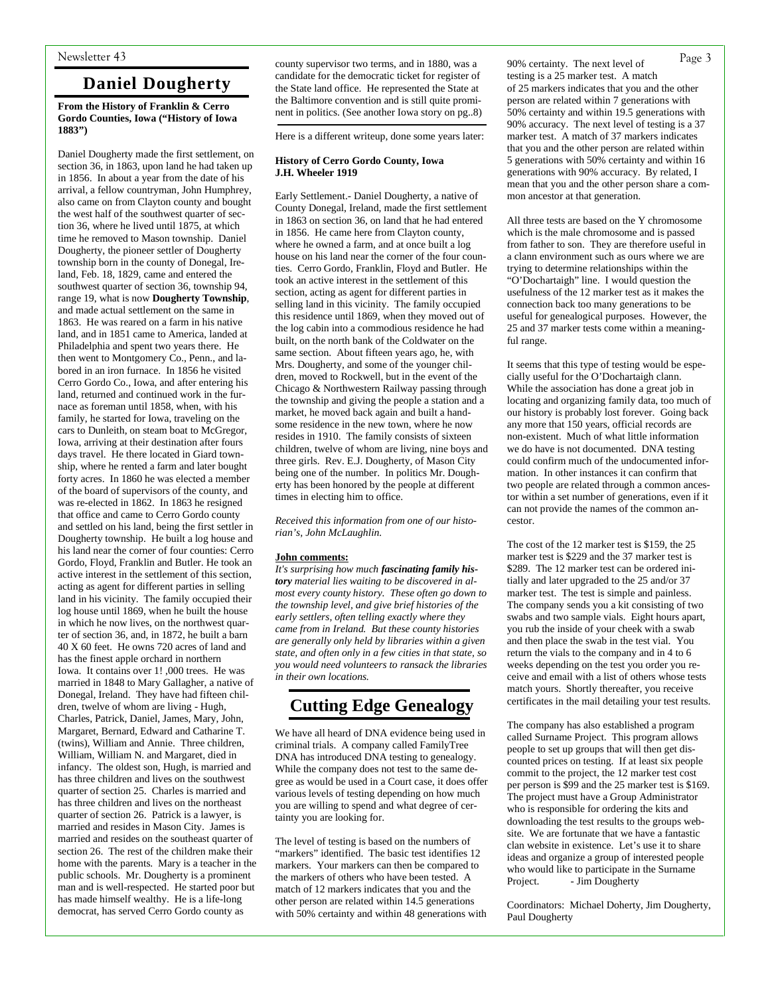# **Daniel Dougherty**

#### **From the History of Franklin & Cerro Gordo Counties, Iowa ("History of Iowa 1883")**

Daniel Dougherty made the first settlement, on section 36, in 1863, upon land he had taken up in 1856. In about a year from the date of his arrival, a fellow countryman, John Humphrey, also came on from Clayton county and bought the west half of the southwest quarter of section 36, where he lived until 1875, at which time he removed to Mason township. Daniel Dougherty, the pioneer settler of Dougherty township born in the county of Donegal, Ireland, Feb. 18, 1829, came and entered the southwest quarter of section 36, township 94, range 19, what is now **Dougherty Township**, and made actual settlement on the same in 1863. He was reared on a farm in his native land, and in 1851 came to America, landed at Philadelphia and spent two years there. He then went to Montgomery Co., Penn., and labored in an iron furnace. In 1856 he visited Cerro Gordo Co., Iowa, and after entering his land, returned and continued work in the furnace as foreman until 1858, when, with his family, he started for Iowa, traveling on the cars to Dunleith, on steam boat to McGregor, Iowa, arriving at their destination after fours days travel. He there located in Giard township, where he rented a farm and later bought forty acres. In 1860 he was elected a member of the board of supervisors of the county, and was re-elected in 1862. In 1863 he resigned that office and came to Cerro Gordo county and settled on his land, being the first settler in Dougherty township. He built a log house and his land near the corner of four counties: Cerro Gordo, Floyd, Franklin and Butler. He took an active interest in the settlement of this section, acting as agent for different parties in selling land in his vicinity. The family occupied their log house until 1869, when he built the house in which he now lives, on the northwest quarter of section 36, and, in 1872, he built a barn 40 X 60 feet. He owns 720 acres of land and has the finest apple orchard in northern Iowa. It contains over 1! ,000 trees. He was married in 1848 to Mary Gallagher, a native of Donegal, Ireland. They have had fifteen children, twelve of whom are living - Hugh, Charles, Patrick, Daniel, James, Mary, John, Margaret, Bernard, Edward and Catharine T. (twins), William and Annie. Three children, William, William N. and Margaret, died in infancy. The oldest son, Hugh, is married and has three children and lives on the southwest quarter of section 25. Charles is married and has three children and lives on the northeast quarter of section 26. Patrick is a lawyer, is married and resides in Mason City. James is married and resides on the southeast quarter of section 26. The rest of the children make their home with the parents. Mary is a teacher in the public schools. Mr. Dougherty is a prominent man and is well-respected. He started poor but has made himself wealthy. He is a life-long democrat, has served Cerro Gordo county as

Newsletter 43 **Example 2** county supervisor two terms, and in 1880, was a 90% certainty. The next level of Page 3 candidate for the democratic ticket for register of the State land office. He represented the State at the Baltimore convention and is still quite prominent in politics. (See another Iowa story on pg..8)

Here is a different writeup, done some years later:

#### **History of Cerro Gordo County, Iowa J.H. Wheeler 1919**

Early Settlement.- Daniel Dougherty, a native of County Donegal, Ireland, made the first settlement in 1863 on section 36, on land that he had entered in 1856. He came here from Clayton county, where he owned a farm, and at once built a log house on his land near the corner of the four counties. Cerro Gordo, Franklin, Floyd and Butler. He took an active interest in the settlement of this section, acting as agent for different parties in selling land in this vicinity. The family occupied this residence until 1869, when they moved out of the log cabin into a commodious residence he had built, on the north bank of the Coldwater on the same section. About fifteen years ago, he, with Mrs. Dougherty, and some of the younger children, moved to Rockwell, but in the event of the Chicago & Northwestern Railway passing through the township and giving the people a station and a market, he moved back again and built a handsome residence in the new town, where he now resides in 1910. The family consists of sixteen children, twelve of whom are living, nine boys and three girls. Rev. E.J. Dougherty, of Mason City being one of the number. In politics Mr. Dougherty has been honored by the people at different times in electing him to office.

*Received this information from one of our historian's, John McLaughlin.* 

#### **John comments:**

*It's surprising how much fascinating family history material lies waiting to be discovered in almost every county history. These often go down to the township level, and give brief histories of the early settlers, often telling exactly where they came from in Ireland. But these county histories are generally only held by libraries within a given state, and often only in a few cities in that state, so you would need volunteers to ransack the libraries in their own locations.*

# **Cutting Edge Genealogy**

We have all heard of DNA evidence being used in criminal trials. A company called FamilyTree DNA has introduced DNA testing to genealogy. While the company does not test to the same degree as would be used in a Court case, it does offer various levels of testing depending on how much you are willing to spend and what degree of certainty you are looking for.

The level of testing is based on the numbers of "markers" identified. The basic test identifies 12 markers. Your markers can then be compared to the markers of others who have been tested. A match of 12 markers indicates that you and the other person are related within 14.5 generations with 50% certainty and within 48 generations with

90% certainty. The next level of testing is a 25 marker test. A match of 25 markers indicates that you and the other person are related within 7 generations with 50% certainty and within 19.5 generations with 90% accuracy. The next level of testing is a 37 marker test. A match of 37 markers indicates that you and the other person are related within 5 generations with 50% certainty and within 16 generations with 90% accuracy. By related, I mean that you and the other person share a common ancestor at that generation.

All three tests are based on the Y chromosome which is the male chromosome and is passed from father to son. They are therefore useful in a clann environment such as ours where we are trying to determine relationships within the "O'Dochartaigh" line. I would question the usefulness of the 12 marker test as it makes the connection back too many generations to be useful for genealogical purposes. However, the 25 and 37 marker tests come within a meaningful range.

It seems that this type of testing would be especially useful for the O'Dochartaigh clann. While the association has done a great job in locating and organizing family data, too much of our history is probably lost forever. Going back any more that 150 years, official records are non-existent. Much of what little information we do have is not documented. DNA testing could confirm much of the undocumented information. In other instances it can confirm that two people are related through a common ancestor within a set number of generations, even if it can not provide the names of the common ancestor.

The cost of the 12 marker test is \$159, the 25 marker test is \$229 and the 37 marker test is \$289. The 12 marker test can be ordered initially and later upgraded to the 25 and/or 37 marker test. The test is simple and painless. The company sends you a kit consisting of two swabs and two sample vials. Eight hours apart, you rub the inside of your cheek with a swab and then place the swab in the test vial. You return the vials to the company and in 4 to 6 weeks depending on the test you order you receive and email with a list of others whose tests match yours. Shortly thereafter, you receive certificates in the mail detailing your test results.

The company has also established a program called Surname Project. This program allows people to set up groups that will then get discounted prices on testing. If at least six people commit to the project, the 12 marker test cost per person is \$99 and the 25 marker test is \$169. The project must have a Group Administrator who is responsible for ordering the kits and downloading the test results to the groups website. We are fortunate that we have a fantastic clan website in existence. Let's use it to share ideas and organize a group of interested people who would like to participate in the Surname Project. - Jim Dougherty

Coordinators: Michael Doherty, Jim Dougherty, Paul Dougherty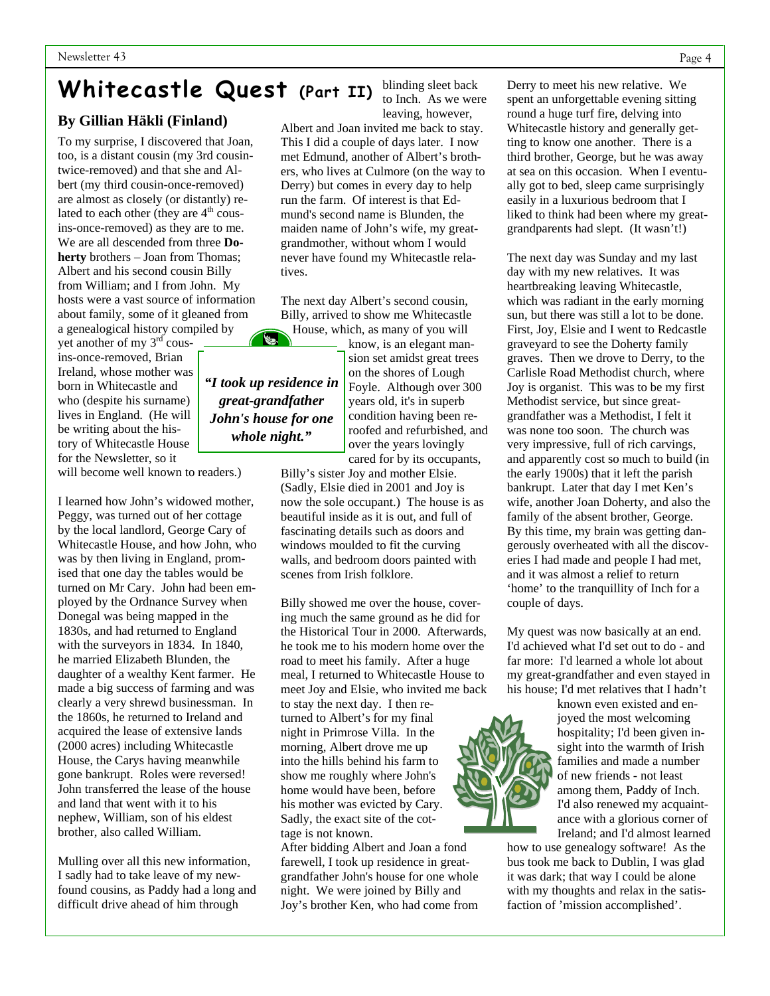# **Whitecastle Quest (Part II)**

## **By Gillian Häkli (Finland)**

To my surprise, I discovered that Joan, too, is a distant cousin (my 3rd cousintwice-removed) and that she and Albert (my third cousin-once-removed) are almost as closely (or distantly) related to each other (they are  $4<sup>th</sup>$  cousins-once-removed) as they are to me. We are all descended from three **Doherty** brothers – Joan from Thomas; Albert and his second cousin Billy from William; and I from John. My hosts were a vast source of information about family, some of it gleaned from a genealogical history compiled by

yet another of my 3rd cousins-once-removed, Brian Ireland, whose mother was born in Whitecastle and who (despite his surname) lives in England. (He will be writing about the history of Whitecastle House for the Newsletter, so it

will become well known to readers.)

I learned how John's widowed mother, Peggy, was turned out of her cottage by the local landlord, George Cary of Whitecastle House, and how John, who was by then living in England, promised that one day the tables would be turned on Mr Cary. John had been employed by the Ordnance Survey when Donegal was being mapped in the 1830s, and had returned to England with the surveyors in 1834. In 1840, he married Elizabeth Blunden, the daughter of a wealthy Kent farmer. He made a big success of farming and was clearly a very shrewd businessman. In the 1860s, he returned to Ireland and acquired the lease of extensive lands (2000 acres) including Whitecastle House, the Carys having meanwhile gone bankrupt. Roles were reversed! John transferred the lease of the house and land that went with it to his nephew, William, son of his eldest brother, also called William.

Mulling over all this new information, I sadly had to take leave of my newfound cousins, as Paddy had a long and difficult drive ahead of him through

blinding sleet back to Inch. As we were leaving, however,

Albert and Joan invited me back to stay. This I did a couple of days later. I now met Edmund, another of Albert's brothers, who lives at Culmore (on the way to Derry) but comes in every day to help run the farm. Of interest is that Edmund's second name is Blunden, the maiden name of John's wife, my greatgrandmother, without whom I would never have found my Whitecastle relatives.

The next day Albert's second cousin, Billy, arrived to show me Whitecastle House, which, as many of you will

> know, is an elegant mansion set amidst great trees on the shores of Lough Foyle. Although over 300 years old, it's in superb condition having been reroofed and refurbished, and over the years lovingly cared for by its occupants,

Billy's sister Joy and mother Elsie. (Sadly, Elsie died in 2001 and Joy is now the sole occupant.) The house is as beautiful inside as it is out, and full of fascinating details such as doors and windows moulded to fit the curving walls, and bedroom doors painted with scenes from Irish folklore.

Billy showed me over the house, covering much the same ground as he did for the Historical Tour in 2000. Afterwards, he took me to his modern home over the road to meet his family. After a huge meal, I returned to Whitecastle House to meet Joy and Elsie, who invited me back

to stay the next day. I then returned to Albert's for my final night in Primrose Villa. In the morning, Albert drove me up into the hills behind his farm to show me roughly where John's home would have been, before his mother was evicted by Cary. Sadly, the exact site of the cottage is not known.

After bidding Albert and Joan a fond farewell, I took up residence in greatgrandfather John's house for one whole night. We were joined by Billy and Joy's brother Ken, who had come from

Derry to meet his new relative. We spent an unforgettable evening sitting round a huge turf fire, delving into Whitecastle history and generally getting to know one another. There is a third brother, George, but he was away at sea on this occasion. When I eventually got to bed, sleep came surprisingly easily in a luxurious bedroom that I liked to think had been where my greatgrandparents had slept. (It wasn't!)

The next day was Sunday and my last day with my new relatives. It was heartbreaking leaving Whitecastle, which was radiant in the early morning sun, but there was still a lot to be done. First, Joy, Elsie and I went to Redcastle graveyard to see the Doherty family graves. Then we drove to Derry, to the Carlisle Road Methodist church, where Joy is organist. This was to be my first Methodist service, but since greatgrandfather was a Methodist, I felt it was none too soon. The church was very impressive, full of rich carvings, and apparently cost so much to build (in the early 1900s) that it left the parish bankrupt. Later that day I met Ken's wife, another Joan Doherty, and also the family of the absent brother, George. By this time, my brain was getting dangerously overheated with all the discoveries I had made and people I had met, and it was almost a relief to return 'home' to the tranquillity of Inch for a couple of days.

My quest was now basically at an end. I'd achieved what I'd set out to do - and far more: I'd learned a whole lot about my great-grandfather and even stayed in his house; I'd met relatives that I hadn't

> known even existed and enjoyed the most welcoming hospitality; I'd been given insight into the warmth of Irish families and made a number of new friends - not least among them, Paddy of Inch. I'd also renewed my acquaintance with a glorious corner of Ireland; and I'd almost learned

how to use genealogy software! As the bus took me back to Dublin, I was glad it was dark; that way I could be alone with my thoughts and relax in the satisfaction of 'mission accomplished'.



*"I took up residence in great-grandfather John's house for one whole night."*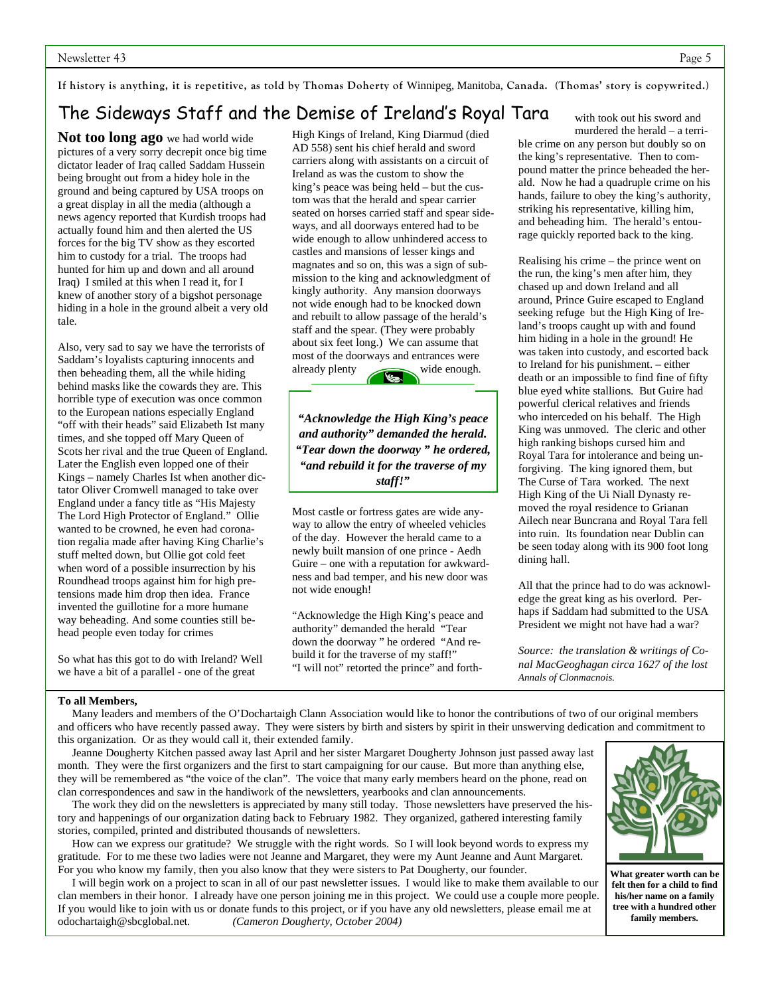# The Sideways Staff and the Demise of Ireland's Royal Tara

**Not too long ago** we had world wide pictures of a very sorry decrepit once big time dictator leader of Iraq called Saddam Hussein being brought out from a hidey hole in the ground and being captured by USA troops on a great display in all the media (although a news agency reported that Kurdish troops had actually found him and then alerted the US forces for the big TV show as they escorted him to custody for a trial. The troops had hunted for him up and down and all around Iraq) I smiled at this when I read it, for I knew of another story of a bigshot personage hiding in a hole in the ground albeit a very old tale.

Also, very sad to say we have the terrorists of Saddam's loyalists capturing innocents and then beheading them, all the while hiding behind masks like the cowards they are. This horrible type of execution was once common to the European nations especially England "off with their heads" said Elizabeth Ist many times, and she topped off Mary Queen of Scots her rival and the true Queen of England. Later the English even lopped one of their Kings – namely Charles Ist when another dictator Oliver Cromwell managed to take over England under a fancy title as "His Majesty The Lord High Protector of England." Ollie wanted to be crowned, he even had coronation regalia made after having King Charlie's stuff melted down, but Ollie got cold feet when word of a possible insurrection by his Roundhead troops against him for high pretensions made him drop then idea. France invented the guillotine for a more humane way beheading. And some counties still behead people even today for crimes

So what has this got to do with Ireland? Well we have a bit of a parallel - one of the great

High Kings of Ireland, King Diarmud (died AD 558) sent his chief herald and sword carriers along with assistants on a circuit of Ireland as was the custom to show the king's peace was being held – but the custom was that the herald and spear carrier seated on horses carried staff and spear sideways, and all doorways entered had to be wide enough to allow unhindered access to castles and mansions of lesser kings and magnates and so on, this was a sign of submission to the king and acknowledgment of kingly authority. Any mansion doorways not wide enough had to be knocked down and rebuilt to allow passage of the herald's staff and the spear. (They were probably about six feet long.) We can assume that most of the doorways and entrances were already plenty wide enough.

*"Acknowledge the High King's peace and authority" demanded the herald. "Tear down the doorway " he ordered, "and rebuild it for the traverse of my staff!"*

Most castle or fortress gates are wide anyway to allow the entry of wheeled vehicles of the day. However the herald came to a newly built mansion of one prince - Aedh Guire – one with a reputation for awkwardness and bad temper, and his new door was not wide enough!

"Acknowledge the High King's peace and authority" demanded the herald "Tear down the doorway " he ordered "And rebuild it for the traverse of my staff!" "I will not" retorted the prince" and forthwith took out his sword and

murdered the herald – a terrible crime on any person but doubly so on the king's representative. Then to compound matter the prince beheaded the herald. Now he had a quadruple crime on his hands, failure to obey the king's authority, striking his representative, killing him, and beheading him. The herald's entourage quickly reported back to the king.

Realising his crime – the prince went on the run, the king's men after him, they chased up and down Ireland and all around, Prince Guire escaped to England seeking refuge but the High King of Ireland's troops caught up with and found him hiding in a hole in the ground! He was taken into custody, and escorted back to Ireland for his punishment. – either death or an impossible to find fine of fifty blue eyed white stallions. But Guire had powerful clerical relatives and friends who interceded on his behalf. The High King was unmoved. The cleric and other high ranking bishops cursed him and Royal Tara for intolerance and being unforgiving. The king ignored them, but The Curse of Tara worked. The next High King of the Ui Niall Dynasty removed the royal residence to Grianan Ailech near Buncrana and Royal Tara fell into ruin. Its foundation near Dublin can be seen today along with its 900 foot long dining hall.

All that the prince had to do was acknowledge the great king as his overlord. Perhaps if Saddam had submitted to the USA President we might not have had a war?

*Source: the translation & writings of Conal MacGeoghagan circa 1627 of the lost Annals of Clonmacnois.*

#### **To all Members,**

 Many leaders and members of the O'Dochartaigh Clann Association would like to honor the contributions of two of our original members and officers who have recently passed away. They were sisters by birth and sisters by spirit in their unswerving dedication and commitment to this organization. Or as they would call it, their extended family.

 Jeanne Dougherty Kitchen passed away last April and her sister Margaret Dougherty Johnson just passed away last month. They were the first organizers and the first to start campaigning for our cause. But more than anything else, they will be remembered as "the voice of the clan". The voice that many early members heard on the phone, read on clan correspondences and saw in the handiwork of the newsletters, yearbooks and clan announcements.

 The work they did on the newsletters is appreciated by many still today. Those newsletters have preserved the history and happenings of our organization dating back to February 1982. They organized, gathered interesting family stories, compiled, printed and distributed thousands of newsletters.

 How can we express our gratitude? We struggle with the right words. So I will look beyond words to express my gratitude. For to me these two ladies were not Jeanne and Margaret, they were my Aunt Jeanne and Aunt Margaret. For you who know my family, then you also know that they were sisters to Pat Dougherty, our founder.

 I will begin work on a project to scan in all of our past newsletter issues. I would like to make them available to our clan members in their honor. I already have one person joining me in this project. We could use a couple more people. If you would like to join with us or donate funds to this project, or if you have any old newsletters, please email me at odochartaigh@sbcglobal.net. *(Cameron Dougherty, October 2004)* 



**What greater worth can be felt then for a child to find his/her name on a family tree with a hundred other family members.**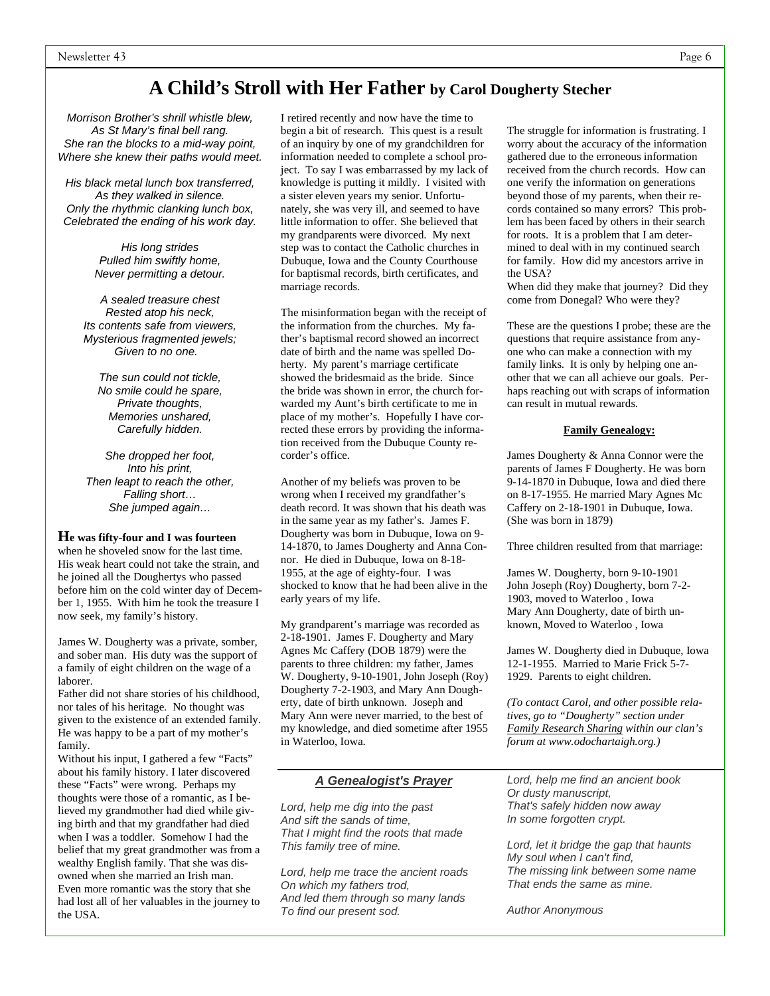# **A Child's Stroll with Her Father by Carol Dougherty Stecher**

*Morrison Brother's shrill whistle blew, As St Mary's final bell rang. She ran the blocks to a mid-way point, Where she knew their paths would meet.* 

*His black metal lunch box transferred, As they walked in silence. Only the rhythmic clanking lunch box, Celebrated the ending of his work day.* 

> *His long strides Pulled him swiftly home, Never permitting a detour.*

*A sealed treasure chest Rested atop his neck, Its contents safe from viewers, Mysterious fragmented jewels; Given to no one.* 

*The sun could not tickle, No smile could he spare, Private thoughts, Memories unshared, Carefully hidden.* 

*She dropped her foot, Into his print, Then leapt to reach the other, Falling short… She jumped again…* 

#### **He was fifty-four and I was fourteen**

when he shoveled snow for the last time. His weak heart could not take the strain, and he joined all the Doughertys who passed before him on the cold winter day of December 1, 1955. With him he took the treasure I now seek, my family's history.

James W. Dougherty was a private, somber, and sober man. His duty was the support of a family of eight children on the wage of a laborer.

Father did not share stories of his childhood, nor tales of his heritage. No thought was given to the existence of an extended family. He was happy to be a part of my mother's family.

Without his input, I gathered a few "Facts" about his family history. I later discovered these "Facts" were wrong. Perhaps my thoughts were those of a romantic, as I believed my grandmother had died while giving birth and that my grandfather had died when I was a toddler. Somehow I had the belief that my great grandmother was from a wealthy English family. That she was disowned when she married an Irish man. Even more romantic was the story that she had lost all of her valuables in the journey to the USA.

I retired recently and now have the time to begin a bit of research. This quest is a result of an inquiry by one of my grandchildren for information needed to complete a school project. To say I was embarrassed by my lack of knowledge is putting it mildly. I visited with a sister eleven years my senior. Unfortunately, she was very ill, and seemed to have little information to offer. She believed that my grandparents were divorced. My next step was to contact the Catholic churches in Dubuque, Iowa and the County Courthouse for baptismal records, birth certificates, and marriage records.

The misinformation began with the receipt of the information from the churches. My father's baptismal record showed an incorrect date of birth and the name was spelled Doherty. My parent's marriage certificate showed the bridesmaid as the bride. Since the bride was shown in error, the church forwarded my Aunt's birth certificate to me in place of my mother's. Hopefully I have corrected these errors by providing the information received from the Dubuque County recorder's office.

Another of my beliefs was proven to be wrong when I received my grandfather's death record. It was shown that his death was in the same year as my father's. James F. Dougherty was born in Dubuque, Iowa on 9- 14-1870, to James Dougherty and Anna Connor. He died in Dubuque, Iowa on 8-18- 1955, at the age of eighty-four. I was shocked to know that he had been alive in the early years of my life.

My grandparent's marriage was recorded as 2-18-1901. James F. Dougherty and Mary Agnes Mc Caffery (DOB 1879) were the parents to three children: my father, James W. Dougherty, 9-10-1901, John Joseph (Roy) Dougherty 7-2-1903, and Mary Ann Dougherty, date of birth unknown. Joseph and Mary Ann were never married, to the best of my knowledge, and died sometime after 1955 in Waterloo, Iowa.

The struggle for information is frustrating. I worry about the accuracy of the information gathered due to the erroneous information received from the church records. How can one verify the information on generations beyond those of my parents, when their records contained so many errors? This problem has been faced by others in their search for roots. It is a problem that I am determined to deal with in my continued search for family. How did my ancestors arrive in the USA?

When did they make that journey? Did they come from Donegal? Who were they?

These are the questions I probe; these are the questions that require assistance from anyone who can make a connection with my family links. It is only by helping one another that we can all achieve our goals. Perhaps reaching out with scraps of information can result in mutual rewards.

#### **Family Genealogy:**

James Dougherty & Anna Connor were the parents of James F Dougherty. He was born 9-14-1870 in Dubuque, Iowa and died there on 8-17-1955. He married Mary Agnes Mc Caffery on 2-18-1901 in Dubuque, Iowa. (She was born in 1879)

Three children resulted from that marriage:

James W. Dougherty, born 9-10-1901 John Joseph (Roy) Dougherty, born 7-2- 1903, moved to Waterloo , Iowa Mary Ann Dougherty, date of birth unknown, Moved to Waterloo , Iowa

James W. Dougherty died in Dubuque, Iowa 12-1-1955. Married to Marie Frick 5-7- 1929. Parents to eight children.

*(To contact Carol, and other possible relatives, go to "Dougherty" section under Family Research Sharing within our clan's forum at www.odochartaigh.org.)*

### *A Genealogist's Prayer*

*Lord, help me dig into the past And sift the sands of time, That I might find the roots that made This family tree of mine.* 

*Lord, help me trace the ancient roads On which my fathers trod, And led them through so many lands To find our present sod.* 

*Lord, help me find an ancient book Or dusty manuscript, That's safely hidden now away In some forgotten crypt.* 

*Lord, let it bridge the gap that haunts My soul when I can't find, The missing link between some name That ends the same as mine.* 

*Author Anonymous*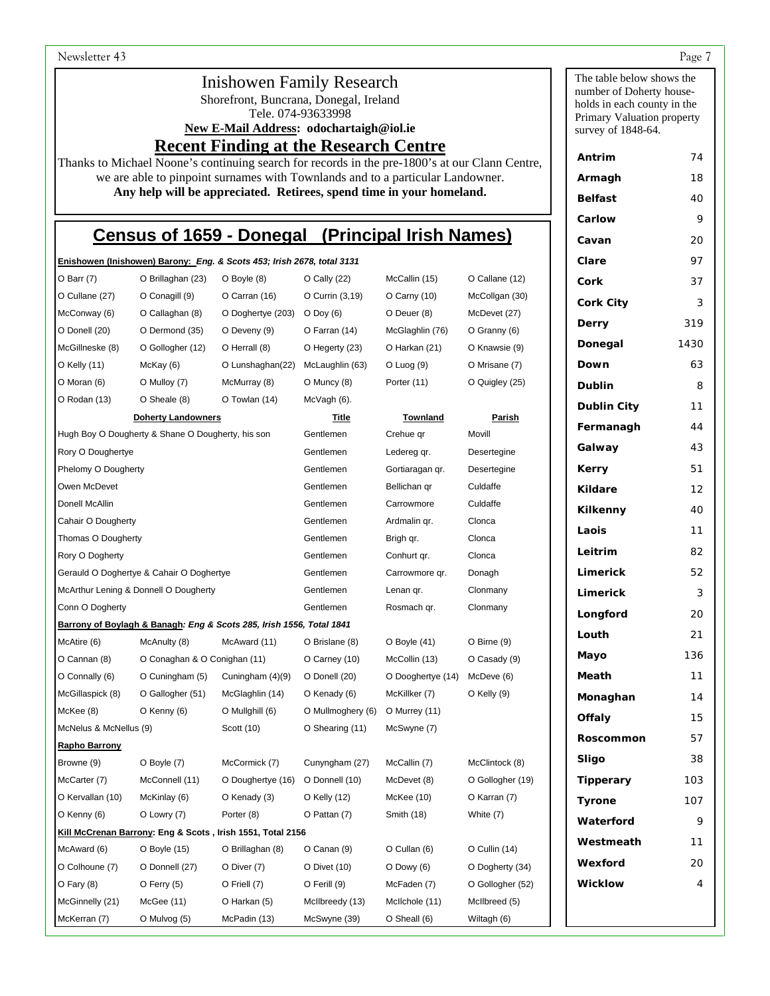# Inishowen Family Research

Shorefront, Buncrana, Donegal, Ireland

Tele. 074-93633998

**New E-Mail Address: odochartaigh@iol.ie** 

**Recent Finding at the Research Centre**

Thanks to Michael Noone's continuing search for records in the pre-1800's at our Clann Centre, we are able to pinpoint surnames with Townlands and to a particular Landowner. **Any help will be appreciated. Retirees, spend time in your homeland.**

# **Census of 1659 - Donegal (Principal Irish Names)**

|                                                                               |                   | Enishowen (Inishowen) Barony: Eng. & Scots 453; Irish 2678, total 3131 |                   |                   |                  | Clare              | 97   |
|-------------------------------------------------------------------------------|-------------------|------------------------------------------------------------------------|-------------------|-------------------|------------------|--------------------|------|
| $O$ Barr $(7)$                                                                | O Brillaghan (23) | O Boyle (8)                                                            | $O$ Cally $(22)$  | McCallin (15)     | O Callane (12)   | Cork               | 37   |
| O Cullane (27)                                                                | O Conagill (9)    | O Carran (16)                                                          | O Currin (3,19)   | O Carny (10)      | McCollgan (30)   | <b>Cork City</b>   | 3    |
| McConway (6)                                                                  | O Callaghan (8)   | O Doghertye (203)                                                      | $O$ Doy $(6)$     | O Deuer (8)       | McDevet (27)     |                    |      |
| O Donell (20)                                                                 | O Dermond (35)    | O Deveny (9)                                                           | O Farran (14)     | McGlaghlin (76)   | O Granny (6)     | Derry              | 319  |
| McGillneske (8)                                                               | O Gollogher (12)  | O Herrall (8)                                                          | O Hegerty (23)    | O Harkan (21)     | O Knawsie (9)    | Donegal            | 1430 |
| O Kelly (11)                                                                  | McKay (6)         | O Lunshaghan(22)                                                       | McLaughlin (63)   | $O$ Luog $(9)$    | O Mrisane (7)    | Down               | 63   |
| O Moran (6)                                                                   | O Mulloy (7)      | McMurray (8)                                                           | O Muncy (8)       | Porter (11)       | O Quigley (25)   | <b>Dublin</b>      | 8    |
| O Rodan (13)                                                                  | O Sheale (8)      | O Towlan (14)                                                          | McVagh (6).       |                   |                  | <b>Dublin City</b> | 11   |
| <b>Doherty Landowners</b>                                                     |                   | <u>Title</u>                                                           | <b>Townland</b>   | <u>Parish</u>     | Fermanagh        | 44                 |      |
| Hugh Boy O Dougherty & Shane O Dougherty, his son                             |                   | Gentlemen                                                              | Crehue qr         | Movill            |                  |                    |      |
| Rory O Doughertye                                                             |                   | Gentlemen                                                              | Ledereg qr.       | Desertegine       | Galway           | 43                 |      |
| Phelomy O Dougherty                                                           |                   | Gentlemen                                                              | Gortiaragan qr.   | Desertegine       | Kerry            | 51                 |      |
| Owen McDevet                                                                  |                   | Gentlemen                                                              | Bellichan qr      | Culdaffe          | Kildare          | 12                 |      |
| Donell McAllin                                                                |                   | Gentlemen                                                              | Carrowmore        | Culdaffe          | Kilkenny         | 40                 |      |
| Cahair O Dougherty                                                            |                   | Gentlemen                                                              | Ardmalin qr.      | Clonca            | Laois            | 11                 |      |
| Thomas O Dougherty                                                            |                   | Gentlemen                                                              | Brigh qr.         | Clonca            | Leitrim          |                    |      |
| Rory O Dogherty                                                               |                   | Gentlemen                                                              | Conhurt qr.       | Clonca            |                  | 82                 |      |
| Gerauld O Doghertye & Cahair O Doghertye                                      |                   | Gentlemen                                                              | Carrowmore gr.    | Donagh            | Limerick         | 52                 |      |
| McArthur Lening & Donnell O Dougherty                                         |                   | Gentlemen                                                              | Lenan qr.         | Clonmany          | Limerick         | 3                  |      |
| Conn O Dogherty                                                               |                   | Gentlemen                                                              | Rosmach qr.       | Clonmany          | Longford         | 20                 |      |
| Barrony of Boylagh & Banagh: Eng & Scots 285, Irish 1556, Total 1841<br>Louth |                   |                                                                        |                   |                   |                  |                    | 21   |
| McAtire (6)                                                                   | McAnulty (8)      | McAward (11)                                                           | O Brislane (8)    | $O$ Boyle $(41)$  | O Birne (9)      | Mayo               | 136  |
| O Cannan (8)<br>O Conaghan & O Conighan (11)                                  |                   | O Carney (10)                                                          | McCollin (13)     | O Casady (9)      |                  |                    |      |
| O Connally (6)                                                                | O Cuningham (5)   | Cuningham (4)(9)                                                       | O Donell (20)     | O Dooghertye (14) | McDeve (6)       | Meath              | 11   |
| McGillaspick (8)                                                              | O Gallogher (51)  | McGlaghlin (14)                                                        | O Kenady (6)      | McKillker (7)     | O Kelly (9)      | Monaghan           | 14   |
| McKee (8)                                                                     | O Kenny (6)       | O Mullghill (6)                                                        | O Mullmoghery (6) | O Murrey (11)     |                  | Offaly             | 15   |
| McNelus & McNellus (9)<br>Scott (10)                                          |                   | O Shearing (11)                                                        | McSwyne (7)       |                   | Roscommon        | 57                 |      |
| <b>Rapho Barrony</b><br>Browne (9)                                            | O Boyle (7)       | McCormick (7)                                                          | Cunyngham (27)    | McCallin (7)      | McClintock (8)   | Sligo              | 38   |
| McCarter (7)                                                                  | McConnell (11)    | O Doughertye (16)                                                      | O Donnell (10)    | McDevet (8)       | O Gollogher (19) | <b>Tipperary</b>   | 103  |
| O Kervallan (10)                                                              | McKinlay (6)      | O Kenady (3)                                                           | O Kelly (12)      | McKee (10)        | O Karran (7)     | Tyrone             | 107  |
| O Kenny (6)                                                                   | O Lowry (7)       | Porter (8)                                                             | O Pattan (7)      | Smith (18)        | White (7)        |                    |      |
| Kill McCrenan Barrony: Eng & Scots, Irish 1551, Total 2156                    |                   |                                                                        |                   |                   |                  | Waterford          | 9    |
| McAward (6)                                                                   | O Boyle (15)      | O Brillaghan (8)                                                       | O Canan (9)       | O Cullan (6)      | O Cullin (14)    | Westmeath          | 11   |
| O Colhoune (7)                                                                | O Donnell (27)    | O Diver (7)                                                            | O Divet (10)      | $O$ Dowy $(6)$    | O Dogherty (34)  | Wexford            | 20   |
| $O$ Fary $(8)$                                                                | $O$ Ferry $(5)$   | O Friell (7)                                                           | O Ferill (9)      | McFaden (7)       | O Gollogher (52) | <b>Wicklow</b>     | 4    |
| McGinnelly (21)                                                               | McGee(11)         | O Harkan (5)                                                           | McIlbreedy (13)   | McIlchole (11)    | McIlbreed (5)    |                    |      |
| McKerran (7)                                                                  | O Mulvog (5)      | McPadin (13)                                                           | McSwyne (39)      | O Sheall (6)      | Wiltagh (6)      |                    |      |

The table below shows the number of Doherty households in each county in the Primary Valuation property survey of 1848-64.

**Antrim** 74 **Armagh** 18 **Belfast** 40 **Carlow** 9 **Cavan** 20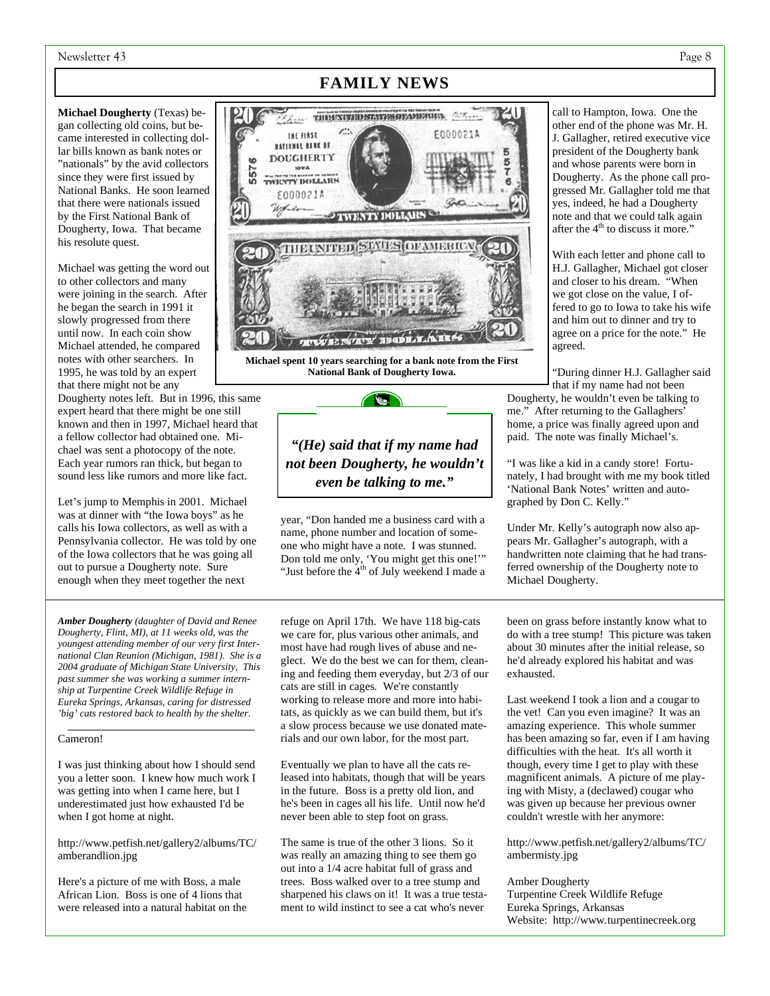#### Newsletter 43 Page 8

**Michael Dougherty** (Texas) began collecting old coins, but became interested in collecting dollar bills known as bank notes or "nationals" by the avid collectors since they were first issued by National Banks. He soon learned that there were nationals issued by the First National Bank of Dougherty, Iowa. That became his resolute quest.

Michael was getting the word out to other collectors and many were joining in the search. After he began the search in 1991 it slowly progressed from there until now. In each coin show Michael attended, he compared notes with other searchers. In 1995, he was told by an expert that there might not be any

Dougherty notes left. But in 1996, this same expert heard that there might be one still known and then in 1997, Michael heard that a fellow collector had obtained one. Michael was sent a photocopy of the note. Each year rumors ran thick, but began to sound less like rumors and more like fact.

Let's jump to Memphis in 2001. Michael was at dinner with "the Iowa boys" as he calls his Iowa collectors, as well as with a Pennsylvania collector. He was told by one of the Iowa collectors that he was going all out to pursue a Dougherty note. Sure enough when they meet together the next

*Amber Dougherty (daughter of David and Renee Dougherty, Flint, MI), at 11 weeks old, was the youngest attending member of our very first International Clan Reunion (Michigan, 1981). She is a 2004 graduate of Michigan State University, This past summer she was working a summer internship at Turpentine Creek Wildlife Refuge in Eureka Springs, Arkansas, caring for distressed 'big' cats restored back to health by the shelter.*

#### Cameron!

I was just thinking about how I should send you a letter soon. I knew how much work I was getting into when I came here, but I underestimated just how exhausted I'd be when I got home at night.

http://www.petfish.net/gallery2/albums/TC/ amberandlion.jpg

Here's a picture of me with Boss, a male African Lion. Boss is one of 4 lions that were released into a natural habitat on the

# **FAMILY NEWS**



**Michael spent 10 years searching for a bank note from the First National Bank of Dougherty Iowa.** 

 $\mathscr{C}$ 

*"(He) said that if my name had not been Dougherty, he wouldn't even be talking to me."* 

year, "Don handed me a business card with a name, phone number and location of someone who might have a note. I was stunned. Don told me only, 'You might get this one!'" "Just before the  $4<sup>th</sup>$  of July weekend I made a

refuge on April 17th. We have 118 big-cats we care for, plus various other animals, and most have had rough lives of abuse and neglect. We do the best we can for them, cleaning and feeding them everyday, but 2/3 of our cats are still in cages. We're constantly working to release more and more into habitats, as quickly as we can build them, but it's a slow process because we use donated materials and our own labor, for the most part.

Eventually we plan to have all the cats released into habitats, though that will be years in the future. Boss is a pretty old lion, and he's been in cages all his life. Until now he'd never been able to step foot on grass.

The same is true of the other 3 lions. So it was really an amazing thing to see them go out into a 1/4 acre habitat full of grass and trees. Boss walked over to a tree stump and sharpened his claws on it! It was a true testament to wild instinct to see a cat who's never

call to Hampton, Iowa. One the other end of the phone was Mr. H. J. Gallagher, retired executive vice president of the Dougherty bank and whose parents were born in Dougherty. As the phone call progressed Mr. Gallagher told me that yes, indeed, he had a Dougherty note and that we could talk again after the 4<sup>th</sup> to discuss it more."

With each letter and phone call to H.J. Gallagher, Michael got closer and closer to his dream. "When we got close on the value, I offered to go to Iowa to take his wife and him out to dinner and try to agree on a price for the note." He agreed.

"During dinner H.J. Gallagher said that if my name had not been

Dougherty, he wouldn't even be talking to me." After returning to the Gallaghers' home, a price was finally agreed upon and paid. The note was finally Michael's.

"I was like a kid in a candy store! Fortunately, I had brought with me my book titled 'National Bank Notes' written and autographed by Don C. Kelly."

Under Mr. Kelly's autograph now also appears Mr. Gallagher's autograph, with a handwritten note claiming that he had transferred ownership of the Dougherty note to Michael Dougherty.

been on grass before instantly know what to do with a tree stump! This picture was taken about 30 minutes after the initial release, so he'd already explored his habitat and was exhausted.

Last weekend I took a lion and a cougar to the vet! Can you even imagine? It was an amazing experience. This whole summer has been amazing so far, even if I am having difficulties with the heat. It's all worth it though, every time I get to play with these magnificent animals. A picture of me playing with Misty, a (declawed) cougar who was given up because her previous owner couldn't wrestle with her anymore:

http://www.petfish.net/gallery2/albums/TC/ ambermisty.jpg

#### Amber Dougherty

Turpentine Creek Wildlife Refuge Eureka Springs, Arkansas Website: http://www.turpentinecreek.org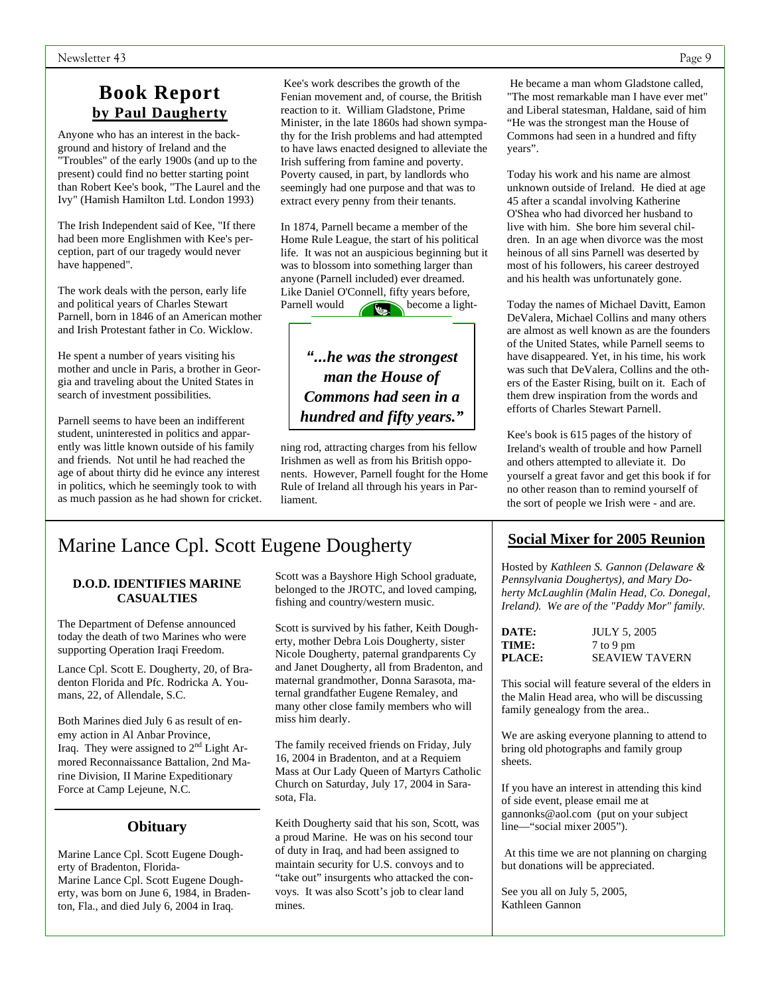# **Book Report by Paul Daugherty**

Anyone who has an interest in the background and history of Ireland and the "Troubles" of the early 1900s (and up to the present) could find no better starting point than Robert Kee's book, "The Laurel and the Ivy" (Hamish Hamilton Ltd. London 1993)

The Irish Independent said of Kee, "If there had been more Englishmen with Kee's perception, part of our tragedy would never have happened".

The work deals with the person, early life and political years of Charles Stewart Parnell, born in 1846 of an American mother and Irish Protestant father in Co. Wicklow.

He spent a number of years visiting his mother and uncle in Paris, a brother in Georgia and traveling about the United States in search of investment possibilities.

Parnell seems to have been an indifferent student, uninterested in politics and apparently was little known outside of his family and friends. Not until he had reached the age of about thirty did he evince any interest in politics, which he seemingly took to with as much passion as he had shown for cricket.

 Kee's work describes the growth of the Fenian movement and, of course, the British reaction to it. William Gladstone, Prime Minister, in the late 1860s had shown sympathy for the Irish problems and had attempted to have laws enacted designed to alleviate the Irish suffering from famine and poverty. Poverty caused, in part, by landlords who seemingly had one purpose and that was to extract every penny from their tenants.

In 1874, Parnell became a member of the Home Rule League, the start of his political life. It was not an auspicious beginning but it was to blossom into something larger than anyone (Parnell included) ever dreamed. Like Daniel O'Connell, fifty years before, Parnell would become a light-

*"...he was the strongest man the House of Commons had seen in a hundred and fifty years."*

ning rod, attracting charges from his fellow Irishmen as well as from his British opponents. However, Parnell fought for the Home Rule of Ireland all through his years in Parliament.

# Marine Lance Cpl. Scott Eugene Dougherty

#### **D.O.D. IDENTIFIES MARINE CASUALTIES**

The Department of Defense announced today the death of two Marines who were supporting Operation Iraqi Freedom.

Lance Cpl. Scott E. Dougherty, 20, of Bradenton Florida and Pfc. Rodricka A. Youmans, 22, of Allendale, S.C.

Both Marines died July 6 as result of enemy action in Al Anbar Province, Iraq. They were assigned to 2nd Light Armored Reconnaissance Battalion, 2nd Marine Division, II Marine Expeditionary Force at Camp Lejeune, N.C.

# **Obituary**

Marine Lance Cpl. Scott Eugene Dougherty of Bradenton, Florida-Marine Lance Cpl. Scott Eugene Dougherty, was born on June 6, 1984, in Bradenton, Fla., and died July 6, 2004 in Iraq.

Scott was a Bayshore High School graduate, belonged to the JROTC, and loved camping, fishing and country/western music.

Scott is survived by his father, Keith Dougherty, mother Debra Lois Dougherty, sister Nicole Dougherty, paternal grandparents Cy and Janet Dougherty, all from Bradenton, and maternal grandmother, Donna Sarasota, maternal grandfather Eugene Remaley, and many other close family members who will miss him dearly.

The family received friends on Friday, July 16, 2004 in Bradenton, and at a Requiem Mass at Our Lady Queen of Martyrs Catholic Church on Saturday, July 17, 2004 in Sarasota, Fla.

Keith Dougherty said that his son, Scott, was a proud Marine. He was on his second tour of duty in Iraq, and had been assigned to maintain security for U.S. convoys and to "take out" insurgents who attacked the convoys. It was also Scott's job to clear land mines.

 He became a man whom Gladstone called, "The most remarkable man I have ever met" and Liberal statesman, Haldane, said of him "He was the strongest man the House of Commons had seen in a hundred and fifty years".

Today his work and his name are almost unknown outside of Ireland. He died at age 45 after a scandal involving Katherine O'Shea who had divorced her husband to live with him. She bore him several children. In an age when divorce was the most heinous of all sins Parnell was deserted by most of his followers, his career destroyed and his health was unfortunately gone.

Today the names of Michael Davitt, Eamon DeValera, Michael Collins and many others are almost as well known as are the founders of the United States, while Parnell seems to have disappeared. Yet, in his time, his work was such that DeValera, Collins and the others of the Easter Rising, built on it. Each of them drew inspiration from the words and efforts of Charles Stewart Parnell.

Kee's book is 615 pages of the history of Ireland's wealth of trouble and how Parnell and others attempted to alleviate it. Do yourself a great favor and get this book if for no other reason than to remind yourself of the sort of people we Irish were - and are.

# **Social Mixer for 2005 Reunion**

Hosted by *Kathleen S. Gannon (Delaware & Pennsylvania Doughertys), and Mary Doherty McLaughlin (Malin Head, Co. Donegal, Ireland). We are of the "Paddy Mor" family.* 

| DATE:         | <b>JULY 5, 2005</b>   |
|---------------|-----------------------|
| TIME:         | 7 to 9 pm             |
| <b>PLACE:</b> | <b>SEAVIEW TAVERN</b> |

This social will feature several of the elders in the Malin Head area, who will be discussing family genealogy from the area..

We are asking everyone planning to attend to bring old photographs and family group sheets.

If you have an interest in attending this kind of side event, please email me at gannonks@aol.com (put on your subject line—"social mixer 2005").

 At this time we are not planning on charging but donations will be appreciated.

See you all on July 5, 2005, Kathleen Gannon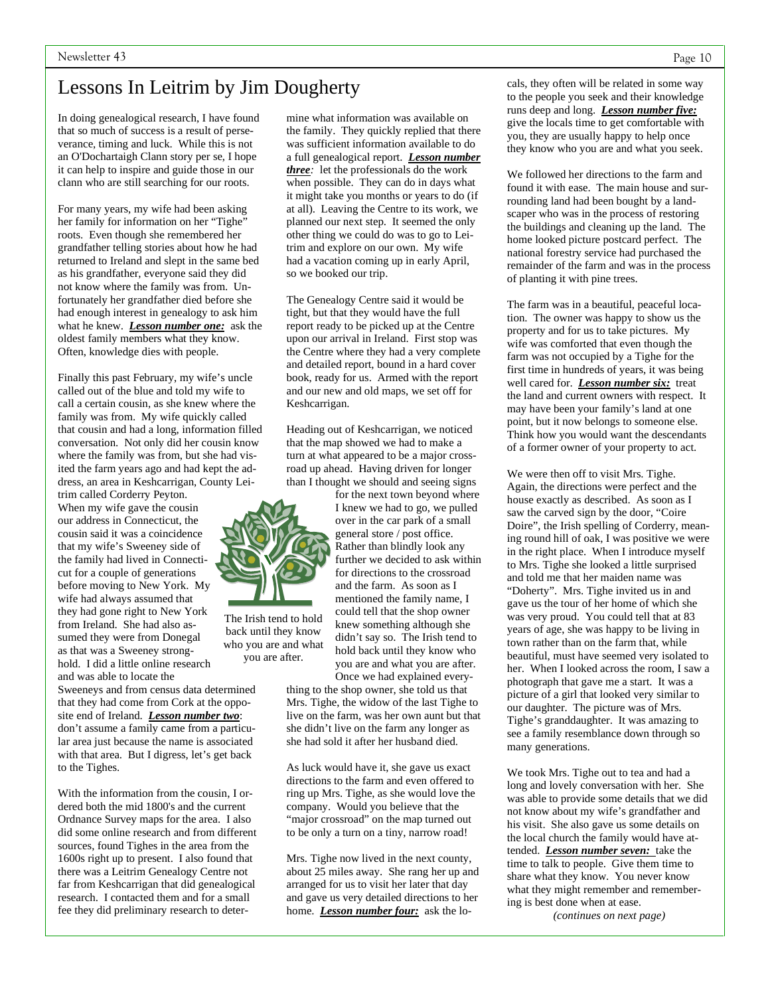# Lessons In Leitrim by Jim Dougherty

In doing genealogical research, I have found that so much of success is a result of perseverance, timing and luck. While this is not an O'Dochartaigh Clann story per se, I hope it can help to inspire and guide those in our clann who are still searching for our roots.

For many years, my wife had been asking her family for information on her "Tighe" roots. Even though she remembered her grandfather telling stories about how he had returned to Ireland and slept in the same bed as his grandfather, everyone said they did not know where the family was from. Unfortunately her grandfather died before she had enough interest in genealogy to ask him what he knew. *Lesson number one:* ask the oldest family members what they know. Often, knowledge dies with people.

Finally this past February, my wife's uncle called out of the blue and told my wife to call a certain cousin, as she knew where the family was from. My wife quickly called that cousin and had a long, information filled conversation. Not only did her cousin know where the family was from, but she had visited the farm years ago and had kept the address, an area in Keshcarrigan, County Leitrim called Corderry Peyton.

When my wife gave the cousin our address in Connecticut, the cousin said it was a coincidence that my wife's Sweeney side of the family had lived in Connecticut for a couple of generations before moving to New York. My wife had always assumed that they had gone right to New York from Ireland. She had also assumed they were from Donegal as that was a Sweeney stronghold. I did a little online research and was able to locate the

Sweeneys and from census data determined that they had come from Cork at the opposite end of Ireland. *Lesson number two*: don't assume a family came from a particular area just because the name is associated with that area. But I digress, let's get back to the Tighes.

With the information from the cousin, I ordered both the mid 1800's and the current Ordnance Survey maps for the area. I also did some online research and from different sources, found Tighes in the area from the 1600s right up to present. I also found that there was a Leitrim Genealogy Centre not far from Keshcarrigan that did genealogical research. I contacted them and for a small fee they did preliminary research to deter-

mine what information was available on the family. They quickly replied that there was sufficient information available to do a full genealogical report. *Lesson number three:* let the professionals do the work when possible. They can do in days what it might take you months or years to do (if at all). Leaving the Centre to its work, we planned our next step. It seemed the only other thing we could do was to go to Leitrim and explore on our own. My wife had a vacation coming up in early April, so we booked our trip.

The Genealogy Centre said it would be tight, but that they would have the full report ready to be picked up at the Centre upon our arrival in Ireland. First stop was the Centre where they had a very complete and detailed report, bound in a hard cover book, ready for us. Armed with the report and our new and old maps, we set off for Keshcarrigan.

Heading out of Keshcarrigan, we noticed that the map showed we had to make a turn at what appeared to be a major crossroad up ahead. Having driven for longer than I thought we should and seeing signs

for the next town beyond where I knew we had to go, we pulled over in the car park of a small general store / post office. Rather than blindly look any further we decided to ask within for directions to the crossroad and the farm. As soon as I mentioned the family name, I could tell that the shop owner knew something although she didn't say so. The Irish tend to hold back until they know who you are and what you are after. Once we had explained every-

thing to the shop owner, she told us that Mrs. Tighe, the widow of the last Tighe to live on the farm, was her own aunt but that she didn't live on the farm any longer as she had sold it after her husband died.

As luck would have it, she gave us exact directions to the farm and even offered to ring up Mrs. Tighe, as she would love the company. Would you believe that the "major crossroad" on the map turned out to be only a turn on a tiny, narrow road!

Mrs. Tighe now lived in the next county, about 25 miles away. She rang her up and arranged for us to visit her later that day and gave us very detailed directions to her home. *Lesson number four:* ask the locals, they often will be related in some way to the people you seek and their knowledge runs deep and long. *Lesson number five:*  give the locals time to get comfortable with you, they are usually happy to help once they know who you are and what you seek.

We followed her directions to the farm and found it with ease. The main house and surrounding land had been bought by a landscaper who was in the process of restoring the buildings and cleaning up the land. The home looked picture postcard perfect. The national forestry service had purchased the remainder of the farm and was in the process of planting it with pine trees.

The farm was in a beautiful, peaceful location. The owner was happy to show us the property and for us to take pictures. My wife was comforted that even though the farm was not occupied by a Tighe for the first time in hundreds of years, it was being well cared for. *Lesson number six:* treat the land and current owners with respect. It may have been your family's land at one point, but it now belongs to someone else. Think how you would want the descendants of a former owner of your property to act.

We were then off to visit Mrs. Tighe. Again, the directions were perfect and the house exactly as described. As soon as I saw the carved sign by the door, "Coire Doire", the Irish spelling of Corderry, meaning round hill of oak, I was positive we were in the right place. When I introduce myself to Mrs. Tighe she looked a little surprised and told me that her maiden name was "Doherty". Mrs. Tighe invited us in and gave us the tour of her home of which she was very proud. You could tell that at 83 years of age, she was happy to be living in town rather than on the farm that, while beautiful, must have seemed very isolated to her. When I looked across the room, I saw a photograph that gave me a start. It was a picture of a girl that looked very similar to our daughter. The picture was of Mrs. Tighe's granddaughter. It was amazing to see a family resemblance down through so many generations.

We took Mrs. Tighe out to tea and had a long and lovely conversation with her. She was able to provide some details that we did not know about my wife's grandfather and his visit. She also gave us some details on the local church the family would have attended. *Lesson number seven:* take the time to talk to people. Give them time to share what they know. You never know what they might remember and remembering is best done when at ease.

*(continues on next page)* 



The Irish tend to hold back until they know

who you are and what you are after.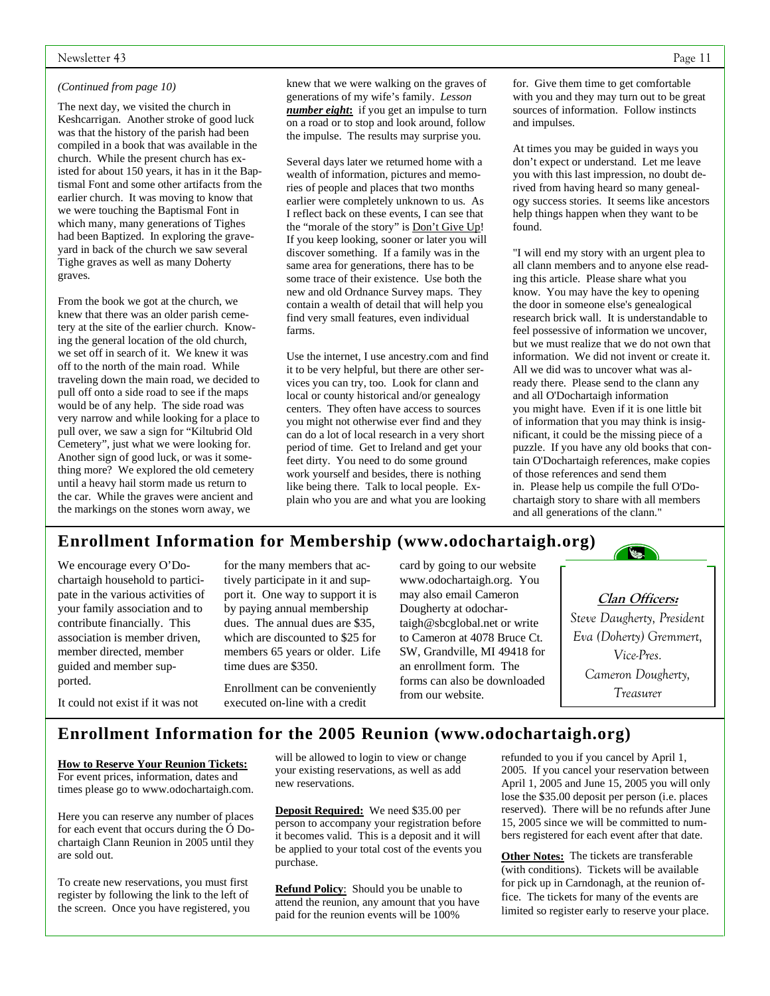#### Newsletter 43 Page 11

#### *(Continued from page 10)*

The next day, we visited the church in Keshcarrigan. Another stroke of good luck was that the history of the parish had been compiled in a book that was available in the church. While the present church has existed for about 150 years, it has in it the Baptismal Font and some other artifacts from the earlier church. It was moving to know that we were touching the Baptismal Font in which many, many generations of Tighes had been Baptized. In exploring the graveyard in back of the church we saw several Tighe graves as well as many Doherty graves.

From the book we got at the church, we knew that there was an older parish cemetery at the site of the earlier church. Knowing the general location of the old church, we set off in search of it. We knew it was off to the north of the main road. While traveling down the main road, we decided to pull off onto a side road to see if the maps would be of any help. The side road was very narrow and while looking for a place to pull over, we saw a sign for "Kiltubrid Old Cemetery", just what we were looking for. Another sign of good luck, or was it something more? We explored the old cemetery until a heavy hail storm made us return to the car. While the graves were ancient and the markings on the stones worn away, we

knew that we were walking on the graves of generations of my wife's family. *Lesson number eight***:** if you get an impulse to turn on a road or to stop and look around, follow the impulse. The results may surprise you.

Several days later we returned home with a wealth of information, pictures and memories of people and places that two months earlier were completely unknown to us. As I reflect back on these events, I can see that the "morale of the story" is **Don't Give Up!** If you keep looking, sooner or later you will discover something. If a family was in the same area for generations, there has to be some trace of their existence. Use both the new and old Ordnance Survey maps. They contain a wealth of detail that will help you find very small features, even individual farms.

Use the internet, I use ancestry.com and find it to be very helpful, but there are other services you can try, too. Look for clann and local or county historical and/or genealogy centers. They often have access to sources you might not otherwise ever find and they can do a lot of local research in a very short period of time. Get to Ireland and get your feet dirty. You need to do some ground work yourself and besides, there is nothing like being there. Talk to local people. Explain who you are and what you are looking

for. Give them time to get comfortable with you and they may turn out to be great sources of information. Follow instincts and impulses.

At times you may be guided in ways you don't expect or understand. Let me leave you with this last impression, no doubt derived from having heard so many genealogy success stories. It seems like ancestors help things happen when they want to be found.

"I will end my story with an urgent plea to all clann members and to anyone else reading this article. Please share what you know. You may have the key to opening the door in someone else's genealogical research brick wall. It is understandable to feel possessive of information we uncover, but we must realize that we do not own that information. We did not invent or create it. All we did was to uncover what was already there. Please send to the clann any and all O'Dochartaigh information you might have. Even if it is one little bit of information that you may think is insignificant, it could be the missing piece of a puzzle. If you have any old books that contain O'Dochartaigh references, make copies of those references and send them in. Please help us compile the full O'Dochartaigh story to share with all members and all generations of the clann."

# **Enrollment Information for Membership (www.odochartaigh.org)**

We encourage every O'Dochartaigh household to participate in the various activities of your family association and to contribute financially. This association is member driven, member directed, member guided and member supported.

for the many members that actively participate in it and support it. One way to support it is by paying annual membership dues. The annual dues are \$35, which are discounted to \$25 for members 65 years or older. Life time dues are \$350.

Enrollment can be conveniently executed on-line with a credit

card by going to our website www.odochartaigh.org. You may also email Cameron Dougherty at odochartaigh@sbcglobal.net or write to Cameron at 4078 Bruce Ct. SW, Grandville, MI 49418 for an enrollment form. The forms can also be downloaded from our website.



# **Clan Officers:**

*Steve Daugherty, President Eva (Doherty) Gremmert, Vice-Pres. Cameron Dougherty, Treasurer* 

It could not exist if it was not

# **Enrollment Information for the 2005 Reunion (www.odochartaigh.org)**

#### **How to Reserve Your Reunion Tickets:**

For event prices, information, dates and times please go to www.odochartaigh.com.

Here you can reserve any number of places for each event that occurs during the Ó Dochartaigh Clann Reunion in 2005 until they are sold out.

To create new reservations, you must first register by following the link to the left of the screen. Once you have registered, you

will be allowed to login to view or change your existing reservations, as well as add new reservations.

**Deposit Required:** We need \$35.00 per person to accompany your registration before it becomes valid. This is a deposit and it will be applied to your total cost of the events you purchase.

**Refund Policy**: Should you be unable to attend the reunion, any amount that you have paid for the reunion events will be 100%

refunded to you if you cancel by April 1, 2005. If you cancel your reservation between April 1, 2005 and June 15, 2005 you will only lose the \$35.00 deposit per person (i.e. places reserved). There will be no refunds after June 15, 2005 since we will be committed to numbers registered for each event after that date.

**Other Notes:** The tickets are transferable (with conditions). Tickets will be available for pick up in Carndonagh, at the reunion office. The tickets for many of the events are limited so register early to reserve your place.